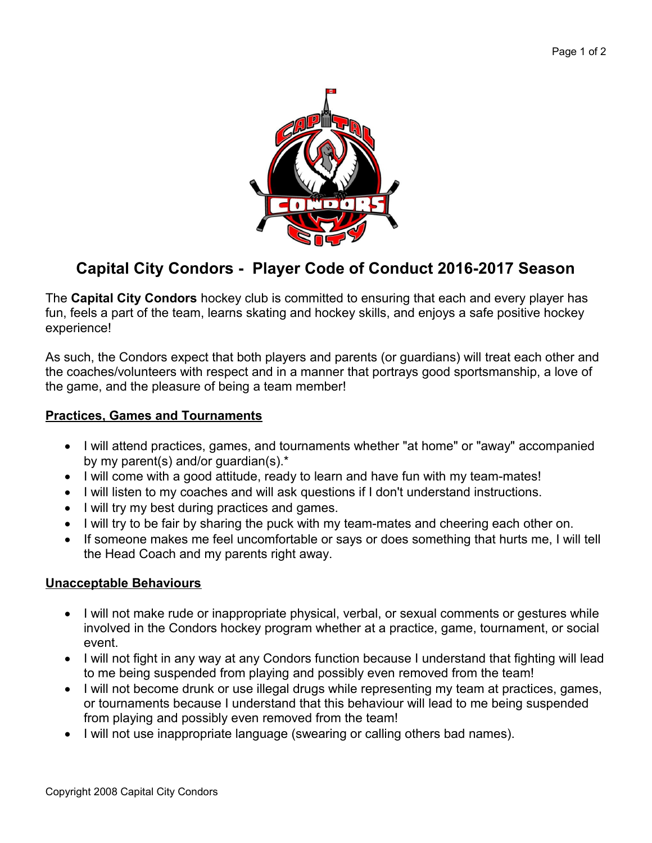

# **Capital City Condors - Player Code of Conduct 2016-2017 Season**

The **Capital City Condors** hockey club is committed to ensuring that each and every player has fun, feels a part of the team, learns skating and hockey skills, and enjoys a safe positive hockey experience!

As such, the Condors expect that both players and parents (or guardians) will treat each other and the coaches/volunteers with respect and in a manner that portrays good sportsmanship, a love of the game, and the pleasure of being a team member!

### **Practices, Games and Tournaments**

- I will attend practices, games, and tournaments whether "at home" or "away" accompanied by my parent(s) and/or guardian(s).\*
- I will come with a good attitude, ready to learn and have fun with my team-mates!
- I will listen to my coaches and will ask questions if I don't understand instructions.
- I will try my best during practices and games.
- I will try to be fair by sharing the puck with my team-mates and cheering each other on.
- If someone makes me feel uncomfortable or says or does something that hurts me, I will tell the Head Coach and my parents right away.

#### **Unacceptable Behaviours**

- I will not make rude or inappropriate physical, verbal, or sexual comments or gestures while involved in the Condors hockey program whether at a practice, game, tournament, or social event.
- I will not fight in any way at any Condors function because I understand that fighting will lead to me being suspended from playing and possibly even removed from the team!
- I will not become drunk or use illegal drugs while representing my team at practices, games, or tournaments because I understand that this behaviour will lead to me being suspended from playing and possibly even removed from the team!
- I will not use inappropriate language (swearing or calling others bad names).